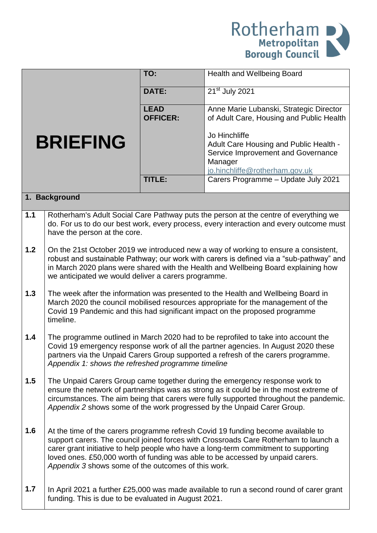

|                 |                                                                                                                                                                                                                                                                                                                                            | TO:                            | <b>Health and Wellbeing Board</b>                                                                                                                                                                                                                                                                                                                 |  |
|-----------------|--------------------------------------------------------------------------------------------------------------------------------------------------------------------------------------------------------------------------------------------------------------------------------------------------------------------------------------------|--------------------------------|---------------------------------------------------------------------------------------------------------------------------------------------------------------------------------------------------------------------------------------------------------------------------------------------------------------------------------------------------|--|
|                 |                                                                                                                                                                                                                                                                                                                                            | <b>DATE:</b>                   | $21st$ July 2021                                                                                                                                                                                                                                                                                                                                  |  |
|                 |                                                                                                                                                                                                                                                                                                                                            | <b>LEAD</b><br><b>OFFICER:</b> | Anne Marie Lubanski, Strategic Director<br>of Adult Care, Housing and Public Health                                                                                                                                                                                                                                                               |  |
| <b>BRIEFING</b> |                                                                                                                                                                                                                                                                                                                                            |                                | Jo Hinchliffe<br>Adult Care Housing and Public Health -<br>Service Improvement and Governance<br>Manager<br>jo.hinchliffe@rotherham.gov.uk                                                                                                                                                                                                        |  |
|                 |                                                                                                                                                                                                                                                                                                                                            | <b>TITLE:</b>                  | Carers Programme - Update July 2021                                                                                                                                                                                                                                                                                                               |  |
| 1. Background   |                                                                                                                                                                                                                                                                                                                                            |                                |                                                                                                                                                                                                                                                                                                                                                   |  |
| 1.1             | have the person at the core.                                                                                                                                                                                                                                                                                                               |                                | Rotherham's Adult Social Care Pathway puts the person at the centre of everything we<br>do. For us to do our best work, every process, every interaction and every outcome must                                                                                                                                                                   |  |
| 1.2             | we anticipated we would deliver a carers programme.                                                                                                                                                                                                                                                                                        |                                | On the 21st October 2019 we introduced new a way of working to ensure a consistent,<br>robust and sustainable Pathway; our work with carers is defined via a "sub-pathway" and<br>in March 2020 plans were shared with the Health and Wellbeing Board explaining how                                                                              |  |
| 1.3             | timeline.                                                                                                                                                                                                                                                                                                                                  |                                | The week after the information was presented to the Health and Wellbeing Board in<br>March 2020 the council mobilised resources appropriate for the management of the<br>Covid 19 Pandemic and this had significant impact on the proposed programme                                                                                              |  |
| 1.4             | Appendix 1: shows the refreshed programme timeline                                                                                                                                                                                                                                                                                         |                                | The programme outlined in March 2020 had to be reprofiled to take into account the<br>Covid 19 emergency response work of all the partner agencies. In August 2020 these<br>partners via the Unpaid Carers Group supported a refresh of the carers programme.                                                                                     |  |
| 1.5             | The Unpaid Carers Group came together during the emergency response work to<br>ensure the network of partnerships was as strong as it could be in the most extreme of<br>circumstances. The aim being that carers were fully supported throughout the pandemic.<br>Appendix 2 shows some of the work progressed by the Unpaid Carer Group. |                                |                                                                                                                                                                                                                                                                                                                                                   |  |
| 1.6             | Appendix 3 shows some of the outcomes of this work.                                                                                                                                                                                                                                                                                        |                                | At the time of the carers programme refresh Covid 19 funding become available to<br>support carers. The council joined forces with Crossroads Care Rotherham to launch a<br>carer grant initiative to help people who have a long-term commitment to supporting<br>loved ones. £50,000 worth of funding was able to be accessed by unpaid carers. |  |
| 1.7             | funding. This is due to be evaluated in August 2021.                                                                                                                                                                                                                                                                                       |                                | In April 2021 a further £25,000 was made available to run a second round of carer grant                                                                                                                                                                                                                                                           |  |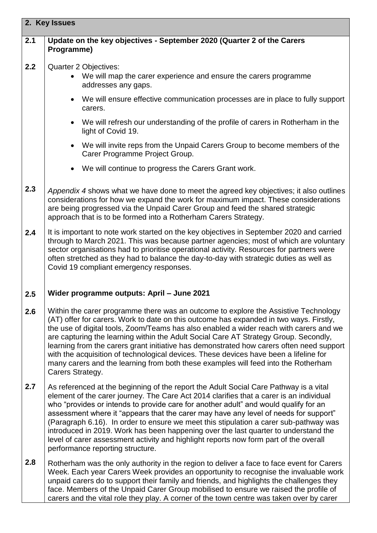| 2. Key Issues |                                                                                                                                                                                                                                                                                                                                                                                                                                                                                                                                                                                                                                                                               |  |  |
|---------------|-------------------------------------------------------------------------------------------------------------------------------------------------------------------------------------------------------------------------------------------------------------------------------------------------------------------------------------------------------------------------------------------------------------------------------------------------------------------------------------------------------------------------------------------------------------------------------------------------------------------------------------------------------------------------------|--|--|
| 2.1           | Update on the key objectives - September 2020 (Quarter 2 of the Carers<br>Programme)                                                                                                                                                                                                                                                                                                                                                                                                                                                                                                                                                                                          |  |  |
| 2.2           | Quarter 2 Objectives:<br>• We will map the carer experience and ensure the carers programme<br>addresses any gaps.                                                                                                                                                                                                                                                                                                                                                                                                                                                                                                                                                            |  |  |
|               | We will ensure effective communication processes are in place to fully support<br>carers.                                                                                                                                                                                                                                                                                                                                                                                                                                                                                                                                                                                     |  |  |
|               | We will refresh our understanding of the profile of carers in Rotherham in the<br>light of Covid 19.                                                                                                                                                                                                                                                                                                                                                                                                                                                                                                                                                                          |  |  |
|               | We will invite reps from the Unpaid Carers Group to become members of the<br>Carer Programme Project Group.                                                                                                                                                                                                                                                                                                                                                                                                                                                                                                                                                                   |  |  |
|               | We will continue to progress the Carers Grant work.                                                                                                                                                                                                                                                                                                                                                                                                                                                                                                                                                                                                                           |  |  |
| 2.3           | Appendix 4 shows what we have done to meet the agreed key objectives; it also outlines<br>considerations for how we expand the work for maximum impact. These considerations<br>are being progressed via the Unpaid Carer Group and feed the shared strategic<br>approach that is to be formed into a Rotherham Carers Strategy.                                                                                                                                                                                                                                                                                                                                              |  |  |
| 2.4           | It is important to note work started on the key objectives in September 2020 and carried<br>through to March 2021. This was because partner agencies; most of which are voluntary<br>sector organisations had to prioritise operational activity. Resources for partners were<br>often stretched as they had to balance the day-to-day with strategic duties as well as<br>Covid 19 compliant emergency responses.                                                                                                                                                                                                                                                            |  |  |
| 2.5           | Wider programme outputs: April - June 2021                                                                                                                                                                                                                                                                                                                                                                                                                                                                                                                                                                                                                                    |  |  |
| 2.6           | Within the carer programme there was an outcome to explore the Assistive Technology<br>(AT) offer for carers. Work to date on this outcome has expanded in two ways. Firstly,<br>the use of digital tools, Zoom/Teams has also enabled a wider reach with carers and we<br>are capturing the learning within the Adult Social Care AT Strategy Group. Secondly,<br>learning from the carers grant initiative has demonstrated how carers often need support<br>with the acquisition of technological devices. These devices have been a lifeline for<br>many carers and the learning from both these examples will feed into the Rotherham<br>Carers Strategy.                |  |  |
| 2.7           | As referenced at the beginning of the report the Adult Social Care Pathway is a vital<br>element of the carer journey. The Care Act 2014 clarifies that a carer is an individual<br>who "provides or intends to provide care for another adult" and would qualify for an<br>assessment where it "appears that the carer may have any level of needs for support"<br>(Paragraph 6.16). In order to ensure we meet this stipulation a carer sub-pathway was<br>introduced in 2019. Work has been happening over the last quarter to understand the<br>level of carer assessment activity and highlight reports now form part of the overall<br>performance reporting structure. |  |  |
| 2.8           | Rotherham was the only authority in the region to deliver a face to face event for Carers<br>Week. Each year Carers Week provides an opportunity to recognise the invaluable work<br>unpaid carers do to support their family and friends, and highlights the challenges they<br>face. Members of the Unpaid Carer Group mobilised to ensure we raised the profile of<br>carers and the vital role they play. A corner of the town centre was taken over by carer                                                                                                                                                                                                             |  |  |

**2. Key Issues**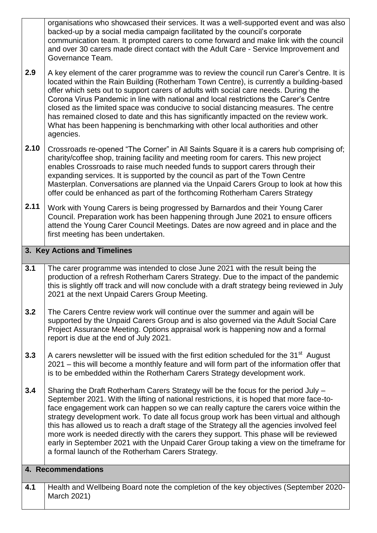organisations who showcased their services. It was a well-supported event and was also backed-up by a social media campaign facilitated by the council's corporate communication team. It prompted carers to come forward and make link with the council and over 30 carers made direct contact with the Adult Care - Service Improvement and Governance Team.

- **2.9** A key element of the carer programme was to review the council run Carer's Centre. It is located within the Rain Building (Rotherham Town Centre), is currently a building-based offer which sets out to support carers of adults with social care needs. During the Corona Virus Pandemic in line with national and local restrictions the Carer's Centre closed as the limited space was conducive to social distancing measures. The centre has remained closed to date and this has significantly impacted on the review work. What has been happening is benchmarking with other local authorities and other agencies.
- **2.10** Crossroads re-opened "The Corner" in All Saints Square it is a carers hub comprising of; charity/coffee shop, training facility and meeting room for carers. This new project enables Crossroads to raise much needed funds to support carers through their expanding services. It is supported by the council as part of the Town Centre Masterplan. Conversations are planned via the Unpaid Carers Group to look at how this offer could be enhanced as part of the forthcoming Rotherham Carers Strategy
- **2.11** Work with Young Carers is being progressed by Barnardos and their Young Carer Council. Preparation work has been happening through June 2021 to ensure officers attend the Young Carer Council Meetings. Dates are now agreed and in place and the first meeting has been undertaken.

## **3. Key Actions and Timelines**

- **3.1** The carer programme was intended to close June 2021 with the result being the production of a refresh Rotherham Carers Strategy. Due to the impact of the pandemic this is slightly off track and will now conclude with a draft strategy being reviewed in July 2021 at the next Unpaid Carers Group Meeting.
- **3.2** The Carers Centre review work will continue over the summer and again will be supported by the Unpaid Carers Group and is also governed via the Adult Social Care Project Assurance Meeting. Options appraisal work is happening now and a formal report is due at the end of July 2021.
- **3.3** A carers newsletter will be issued with the first edition scheduled for the 31<sup>st</sup> August 2021 – this will become a monthly feature and will form part of the information offer that is to be embedded within the Rotherham Carers Strategy development work.
- **3.4** Sharing the Draft Rotherham Carers Strategy will be the focus for the period July – September 2021. With the lifting of national restrictions, it is hoped that more face-toface engagement work can happen so we can really capture the carers voice within the strategy development work. To date all focus group work has been virtual and although this has allowed us to reach a draft stage of the Strategy all the agencies involved feel more work is needed directly with the carers they support. This phase will be reviewed early in September 2021 with the Unpaid Carer Group taking a view on the timeframe for a formal launch of the Rotherham Carers Strategy.

## **4. Recommendations**

**4.1** Health and Wellbeing Board note the completion of the key objectives (September 2020- March 2021)